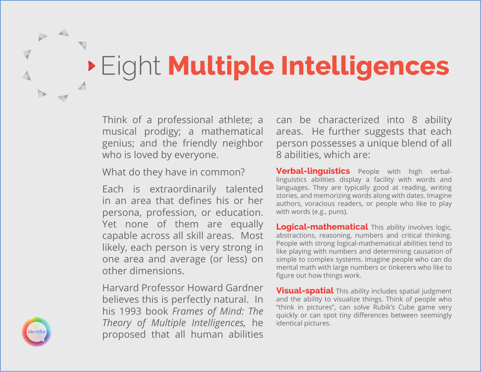## Eight **Multiple Intelligences**

Think of a professional athlete; a musical prodigy; a mathematical genius; and the friendly neighbor who is loved by everyone.

What do they have in common?

Each is extraordinarily talented in an area that defines his or her persona, profession, or education. Yet none of them are equally capable across all skill areas. Most likely, each person is very strong in one area and average (or less) on other dimensions.

Harvard Professor Howard Gardner believes this is perfectly natural. In his 1993 book *Frames of Mind: The Theory of Multiple Intelligences,* he proposed that all human abilities can be characterized into 8 ability areas. He further suggests that each person possesses a unique blend of all 8 abilities, which are:

**Verbal-linguistics** People with high verballinguistics abilities display a facility with words and languages. They are typically good at reading, writing stories, and memorizing words along with dates. Imagine authors, voracious readers, or people who like to play with words (e.g., puns).

**Logical-mathematical** This ability involves logic, abstractions, reasoning, numbers and critical thinking. People with strong logical-mathematical abilities tend to like playing with numbers and determining causation of simple to complex systems. Imagine people who can do mental math with large numbers or tinkerers who like to figure out how things work.

**Visual-spatial** This ability includes spatial judgment and the ability to visualize things. Think of people who "think in pictures", can solve Rubik's Cube game very quickly or can spot tiny differences between seemingly identical pictures.